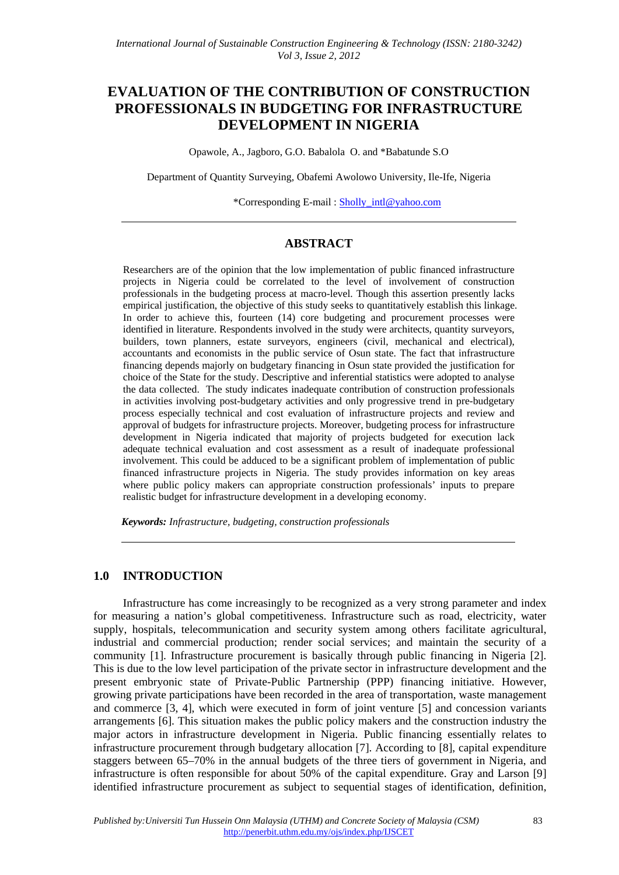# **EVALUATION OF THE CONTRIBUTION OF CONSTRUCTION PROFESSIONALS IN BUDGETING FOR INFRASTRUCTURE DEVELOPMENT IN NIGERIA**

Opawole, A., Jagboro, G.O. Babalola O. and \*Babatunde S.O

Department of Quantity Surveying, Obafemi Awolowo University, Ile-Ife, Nigeria

\*Corresponding E-mail : Sholly\_intl@yahoo.com

## **ABSTRACT**

Researchers are of the opinion that the low implementation of public financed infrastructure projects in Nigeria could be correlated to the level of involvement of construction professionals in the budgeting process at macro-level. Though this assertion presently lacks empirical justification, the objective of this study seeks to quantitatively establish this linkage. In order to achieve this, fourteen (14) core budgeting and procurement processes were identified in literature. Respondents involved in the study were architects, quantity surveyors, builders, town planners, estate surveyors, engineers (civil, mechanical and electrical), accountants and economists in the public service of Osun state. The fact that infrastructure financing depends majorly on budgetary financing in Osun state provided the justification for choice of the State for the study. Descriptive and inferential statistics were adopted to analyse the data collected. The study indicates inadequate contribution of construction professionals in activities involving post-budgetary activities and only progressive trend in pre-budgetary process especially technical and cost evaluation of infrastructure projects and review and approval of budgets for infrastructure projects. Moreover, budgeting process for infrastructure development in Nigeria indicated that majority of projects budgeted for execution lack adequate technical evaluation and cost assessment as a result of inadequate professional involvement. This could be adduced to be a significant problem of implementation of public financed infrastructure projects in Nigeria. The study provides information on key areas where public policy makers can appropriate construction professionals' inputs to prepare realistic budget for infrastructure development in a developing economy.

*Keywords: Infrastructure, budgeting, construction professionals*

## **1.0 INTRODUCTION**

Infrastructure has come increasingly to be recognized as a very strong parameter and index for measuring a nation's global competitiveness. Infrastructure such as road, electricity, water supply, hospitals, telecommunication and security system among others facilitate agricultural, industrial and commercial production; render social services; and maintain the security of a community [1]. Infrastructure procurement is basically through public financing in Nigeria [2]. This is due to the low level participation of the private sector in infrastructure development and the present embryonic state of Private-Public Partnership (PPP) financing initiative. However, growing private participations have been recorded in the area of transportation, waste management and commerce [3, 4], which were executed in form of joint venture [5] and concession variants arrangements [6]. This situation makes the public policy makers and the construction industry the major actors in infrastructure development in Nigeria. Public financing essentially relates to infrastructure procurement through budgetary allocation [7]. According to [8], capital expenditure staggers between 65–70% in the annual budgets of the three tiers of government in Nigeria, and infrastructure is often responsible for about 50% of the capital expenditure. Gray and Larson [9] identified infrastructure procurement as subject to sequential stages of identification, definition,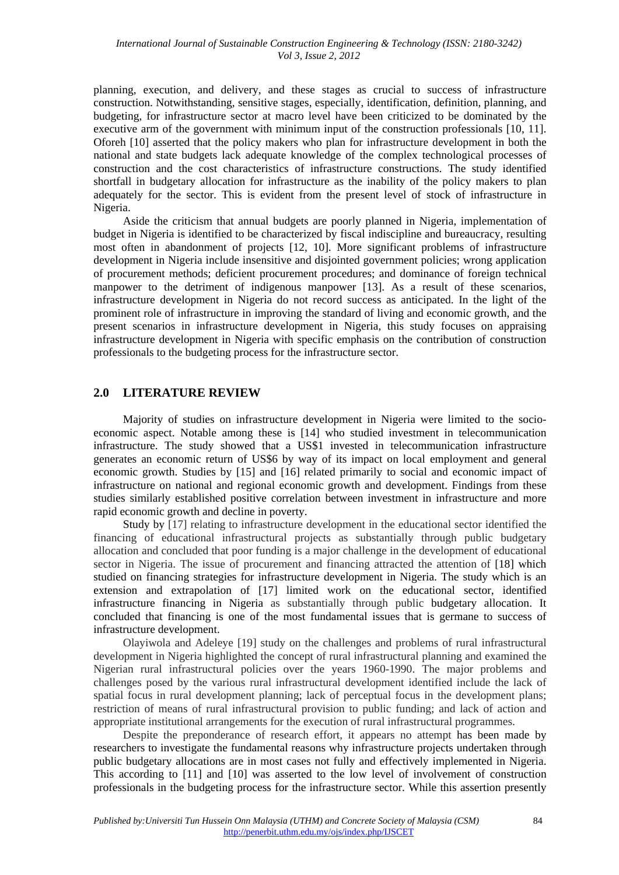planning, execution, and delivery, and these stages as crucial to success of infrastructure construction. Notwithstanding, sensitive stages, especially, identification, definition, planning, and budgeting, for infrastructure sector at macro level have been criticized to be dominated by the executive arm of the government with minimum input of the construction professionals [10, 11]. Oforeh [10] asserted that the policy makers who plan for infrastructure development in both the national and state budgets lack adequate knowledge of the complex technological processes of construction and the cost characteristics of infrastructure constructions. The study identified shortfall in budgetary allocation for infrastructure as the inability of the policy makers to plan adequately for the sector. This is evident from the present level of stock of infrastructure in Nigeria.

Aside the criticism that annual budgets are poorly planned in Nigeria, implementation of budget in Nigeria is identified to be characterized by fiscal indiscipline and bureaucracy, resulting most often in abandonment of projects [12, 10]. More significant problems of infrastructure development in Nigeria include insensitive and disjointed government policies; wrong application of procurement methods; deficient procurement procedures; and dominance of foreign technical manpower to the detriment of indigenous manpower [13]. As a result of these scenarios, infrastructure development in Nigeria do not record success as anticipated. In the light of the prominent role of infrastructure in improving the standard of living and economic growth, and the present scenarios in infrastructure development in Nigeria, this study focuses on appraising infrastructure development in Nigeria with specific emphasis on the contribution of construction professionals to the budgeting process for the infrastructure sector.

# **2.0 LITERATURE REVIEW**

Majority of studies on infrastructure development in Nigeria were limited to the socioeconomic aspect. Notable among these is [14] who studied investment in telecommunication infrastructure. The study showed that a US\$1 invested in telecommunication infrastructure generates an economic return of US\$6 by way of its impact on local employment and general economic growth. Studies by [15] and [16] related primarily to social and economic impact of infrastructure on national and regional economic growth and development. Findings from these studies similarly established positive correlation between investment in infrastructure and more rapid economic growth and decline in poverty.

Study by [17] relating to infrastructure development in the educational sector identified the financing of educational infrastructural projects as substantially through public budgetary allocation and concluded that poor funding is a major challenge in the development of educational sector in Nigeria. The issue of procurement and financing attracted the attention of [18] which studied on financing strategies for infrastructure development in Nigeria. The study which is an extension and extrapolation of [17] limited work on the educational sector, identified infrastructure financing in Nigeria as substantially through public budgetary allocation. It concluded that financing is one of the most fundamental issues that is germane to success of infrastructure development.

Olayiwola and Adeleye [19] study on the challenges and problems of rural infrastructural development in Nigeria highlighted the concept of rural infrastructural planning and examined the Nigerian rural infrastructural policies over the years 1960-1990. The major problems and challenges posed by the various rural infrastructural development identified include the lack of spatial focus in rural development planning; lack of perceptual focus in the development plans; restriction of means of rural infrastructural provision to public funding; and lack of action and appropriate institutional arrangements for the execution of rural infrastructural programmes.

Despite the preponderance of research effort, it appears no attempt has been made by researchers to investigate the fundamental reasons why infrastructure projects undertaken through public budgetary allocations are in most cases not fully and effectively implemented in Nigeria. This according to [11] and [10] was asserted to the low level of involvement of construction professionals in the budgeting process for the infrastructure sector. While this assertion presently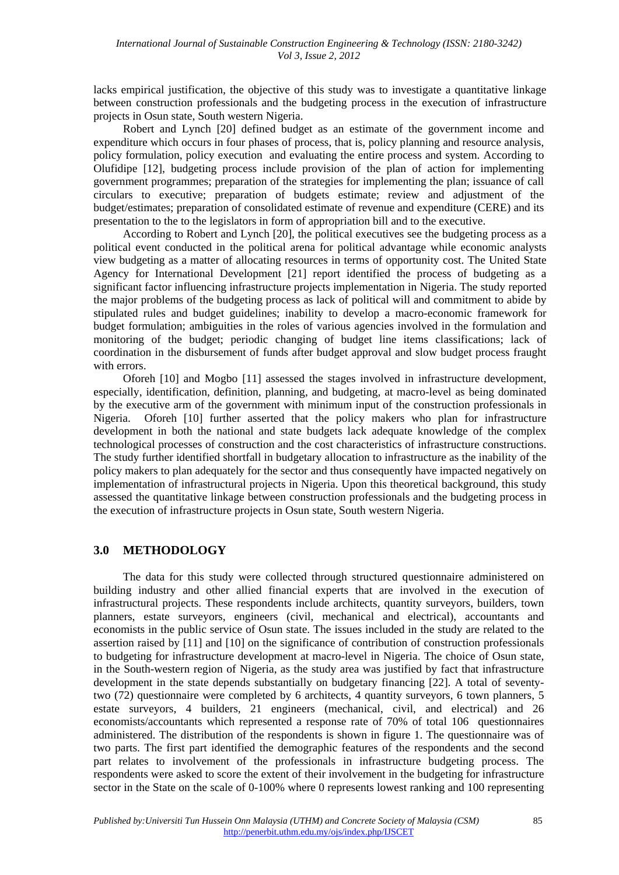lacks empirical justification, the objective of this study was to investigate a quantitative linkage between construction professionals and the budgeting process in the execution of infrastructure projects in Osun state, South western Nigeria.

Robert and Lynch [20] defined budget as an estimate of the government income and expenditure which occurs in four phases of process, that is, policy planning and resource analysis, policy formulation, policy execution and evaluating the entire process and system. According to Olufidipe [12], budgeting process include provision of the plan of action for implementing government programmes; preparation of the strategies for implementing the plan; issuance of call circulars to executive; preparation of budgets estimate; review and adjustment of the budget/estimates; preparation of consolidated estimate of revenue and expenditure (CERE) and its presentation to the to the legislators in form of appropriation bill and to the executive.

According to Robert and Lynch [20], the political executives see the budgeting process as a political event conducted in the political arena for political advantage while economic analysts view budgeting as a matter of allocating resources in terms of opportunity cost. The United State Agency for International Development [21] report identified the process of budgeting as a significant factor influencing infrastructure projects implementation in Nigeria. The study reported the major problems of the budgeting process as lack of political will and commitment to abide by stipulated rules and budget guidelines; inability to develop a macro-economic framework for budget formulation; ambiguities in the roles of various agencies involved in the formulation and monitoring of the budget; periodic changing of budget line items classifications; lack of coordination in the disbursement of funds after budget approval and slow budget process fraught with errors.

Oforeh [10] and Mogbo [11] assessed the stages involved in infrastructure development, especially, identification, definition, planning, and budgeting, at macro-level as being dominated by the executive arm of the government with minimum input of the construction professionals in Nigeria. Oforeh [10] further asserted that the policy makers who plan for infrastructure development in both the national and state budgets lack adequate knowledge of the complex technological processes of construction and the cost characteristics of infrastructure constructions. The study further identified shortfall in budgetary allocation to infrastructure as the inability of the policy makers to plan adequately for the sector and thus consequently have impacted negatively on implementation of infrastructural projects in Nigeria. Upon this theoretical background, this study assessed the quantitative linkage between construction professionals and the budgeting process in the execution of infrastructure projects in Osun state, South western Nigeria.

#### **3.0 METHODOLOGY**

The data for this study were collected through structured questionnaire administered on building industry and other allied financial experts that are involved in the execution of infrastructural projects. These respondents include architects, quantity surveyors, builders, town planners, estate surveyors, engineers (civil, mechanical and electrical), accountants and economists in the public service of Osun state. The issues included in the study are related to the assertion raised by [11] and [10] on the significance of contribution of construction professionals to budgeting for infrastructure development at macro-level in Nigeria. The choice of Osun state, in the South-western region of Nigeria, as the study area was justified by fact that infrastructure development in the state depends substantially on budgetary financing [22]. A total of seventytwo (72) questionnaire were completed by 6 architects, 4 quantity surveyors, 6 town planners, 5 estate surveyors, 4 builders, 21 engineers (mechanical, civil, and electrical) and 26 economists/accountants which represented a response rate of 70% of total 106 questionnaires administered. The distribution of the respondents is shown in figure 1. The questionnaire was of two parts. The first part identified the demographic features of the respondents and the second part relates to involvement of the professionals in infrastructure budgeting process. The respondents were asked to score the extent of their involvement in the budgeting for infrastructure sector in the State on the scale of 0-100% where 0 represents lowest ranking and 100 representing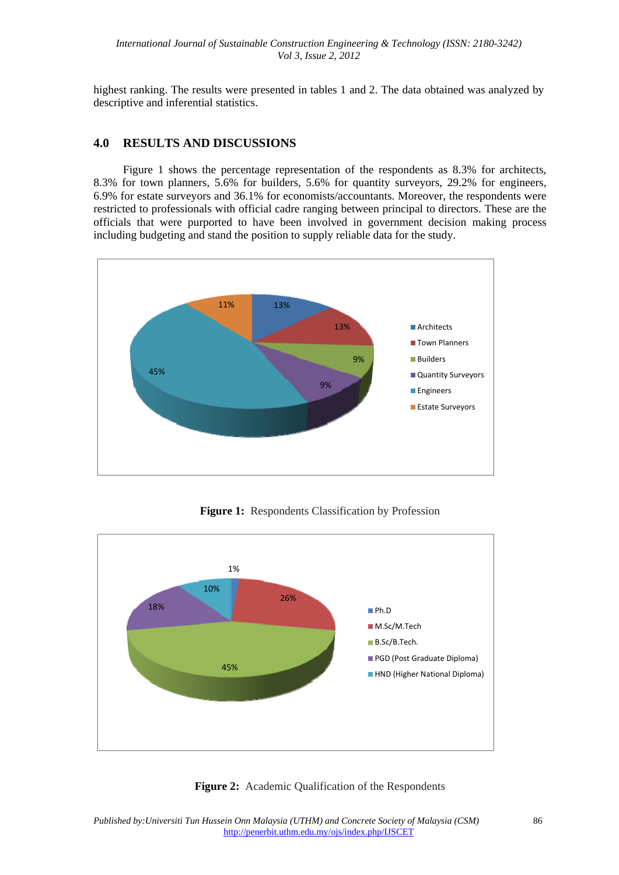highest ranking. The results were presented in tables 1 and 2. The data obtained was analyzed by descriptive and inferential statistics.

## **4.0 RESULTS AND DISCUSSIONS**

Figure 1 shows the percentage representation of the respondents as 8.3% for architects, 8.3% for town planners, 5.6% for builders, 5.6% for quantity surveyors, 29.2% for engineers, 6.9% for estate surveyors and 36.1% for economists/accountants. Moreover, the respondents were restricted to professionals with official cadre ranging between principal to directors. These are the officials that were purported to have been involved in government decision making process including budgeting and stand the position to supply reliable data for the study.



**Figure 1:** Respondents Classification by Profession



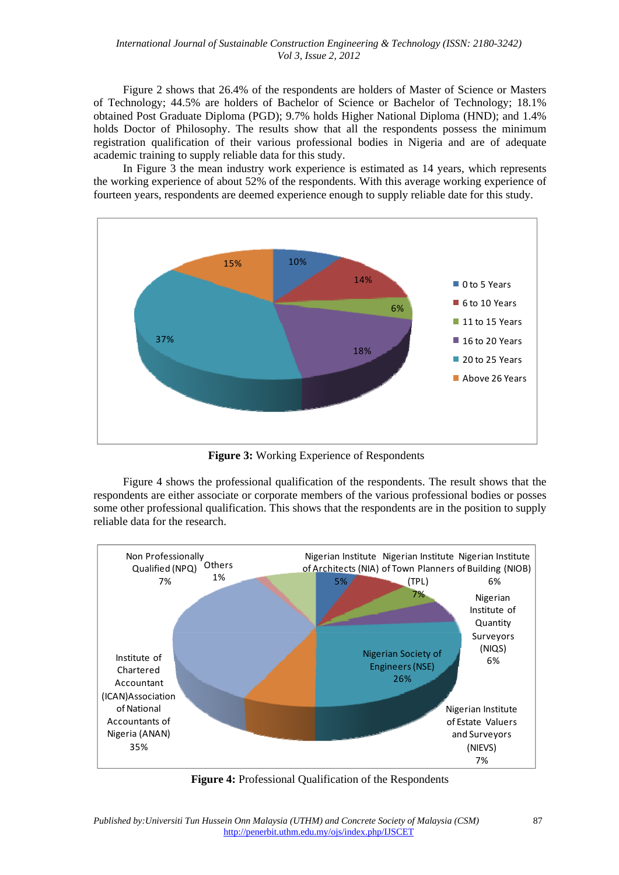#### *International Journal of Sustainable Construction Engineering & Technology (ISSN: 2180-3242) Vol 3, Issue 2, 2012*

Figure 2 shows that 26.4% of the respondents are holders of Master of Science or Masters of Technology; 44.5% are holders of Bachelor of Science or Bachelor of Technology; 18.1% obtained Post Graduate Diploma (PGD); 9.7% holds Higher National Diploma (HND); and 1.4% holds Doctor of Philosophy. The results show that all the respondents possess the minimum registration qualification of their various professional bodies in Nigeria and are of adequate academic training to supply reliable data for this study.

In Figure 3 the mean industry work experience is estimated as 14 years, which represents the working experience of about 52% of the respondents. With this average working experience of fourteen years, respondents are deemed experience enough to supply reliable date for this study.



**Figure 3:** Working Experience of Respondents

Figure 4 shows the professional qualification of the respondents. The result shows that the respondents are either associate or corporate members of the various professional bodies or posses some other professional qualification. This shows that the respondents are in the position to supply reliable data for the research.



**Figure 4:** Professional Qualification of the Respondents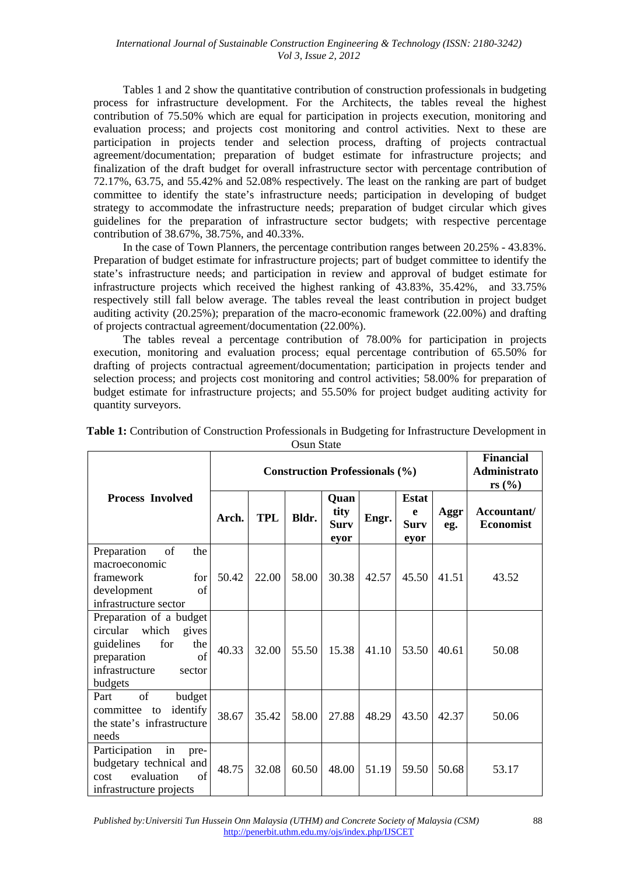Tables 1 and 2 show the quantitative contribution of construction professionals in budgeting process for infrastructure development. For the Architects, the tables reveal the highest contribution of 75.50% which are equal for participation in projects execution, monitoring and evaluation process; and projects cost monitoring and control activities. Next to these are participation in projects tender and selection process, drafting of projects contractual agreement/documentation; preparation of budget estimate for infrastructure projects; and finalization of the draft budget for overall infrastructure sector with percentage contribution of 72.17%, 63.75, and 55.42% and 52.08% respectively. The least on the ranking are part of budget committee to identify the state's infrastructure needs; participation in developing of budget strategy to accommodate the infrastructure needs; preparation of budget circular which gives guidelines for the preparation of infrastructure sector budgets; with respective percentage contribution of 38.67%, 38.75%, and 40.33%.

In the case of Town Planners, the percentage contribution ranges between 20.25% - 43.83%. Preparation of budget estimate for infrastructure projects; part of budget committee to identify the state's infrastructure needs; and participation in review and approval of budget estimate for infrastructure projects which received the highest ranking of 43.83%, 35.42%, and 33.75% respectively still fall below average. The tables reveal the least contribution in project budget auditing activity (20.25%); preparation of the macro-economic framework (22.00%) and drafting of projects contractual agreement/documentation (22.00%).

The tables reveal a percentage contribution of 78.00% for participation in projects execution, monitoring and evaluation process; equal percentage contribution of 65.50% for drafting of projects contractual agreement/documentation; participation in projects tender and selection process; and projects cost monitoring and control activities; 58.00% for preparation of budget estimate for infrastructure projects; and 55.50% for project budget auditing activity for quantity surveyors.

|                                                                                                                                            | <b>Construction Professionals (%)</b> |            |       |                                     |       |                                          | <b>Financial</b><br><b>Administrato</b><br>rs $(\%$ |                                 |
|--------------------------------------------------------------------------------------------------------------------------------------------|---------------------------------------|------------|-------|-------------------------------------|-------|------------------------------------------|-----------------------------------------------------|---------------------------------|
| <b>Process Involved</b>                                                                                                                    | Arch.                                 | <b>TPL</b> | Bldr. | Quan<br>tity<br><b>Surv</b><br>eyor | Engr. | <b>Estat</b><br>e<br><b>Surv</b><br>eyor | Aggr<br>eg.                                         | Accountant/<br><b>Economist</b> |
| Preparation<br>of<br>the<br>macroeconomic<br>framework<br>for<br>of<br>development<br>infrastructure sector                                | 50.42                                 | 22.00      | 58.00 | 30.38                               | 42.57 | 45.50                                    | 41.51                                               | 43.52                           |
| Preparation of a budget<br>circular which<br>gives<br>guidelines<br>for<br>the<br>of<br>preparation<br>infrastructure<br>sector<br>budgets | 40.33                                 | 32.00      | 55.50 | 15.38                               | 41.10 | 53.50                                    | 40.61                                               | 50.08                           |
| of<br>budget<br>Part<br>identify<br>committee<br>to<br>the state's infrastructure<br>needs                                                 | 38.67                                 | 35.42      | 58.00 | 27.88                               | 48.29 | 43.50                                    | 42.37                                               | 50.06                           |
| Participation<br>in<br>pre-<br>budgetary technical and<br>evaluation<br>$\sigma$ f<br>cost<br>infrastructure projects                      | 48.75                                 | 32.08      | 60.50 | 48.00                               | 51.19 | 59.50                                    | 50.68                                               | 53.17                           |

**Table 1:** Contribution of Construction Professionals in Budgeting for Infrastructure Development in Osun State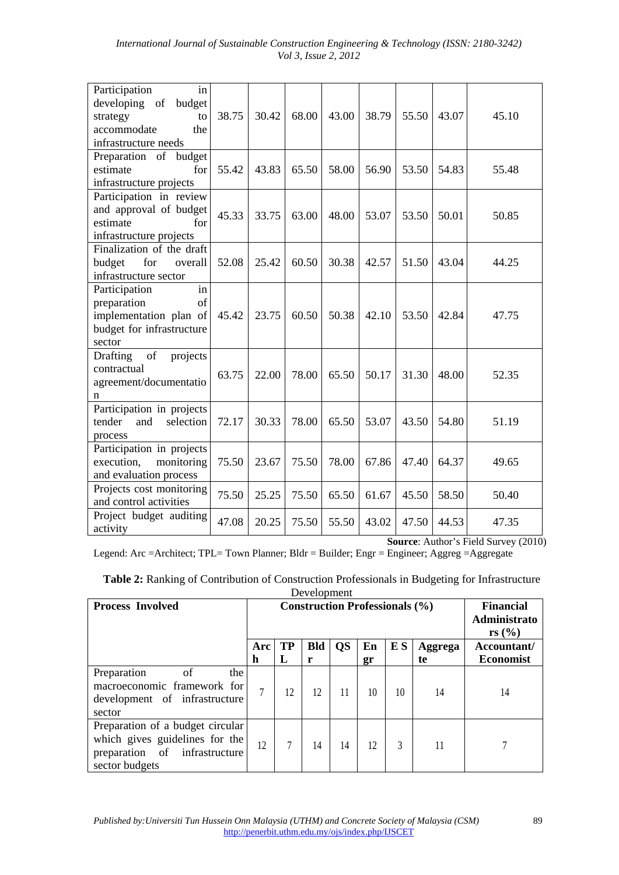|  |                             | International Journal of Sustainable Construction Engineering & Technology (ISSN: 2180-3242) |  |  |
|--|-----------------------------|----------------------------------------------------------------------------------------------|--|--|
|  | <i>Vol 3, Issue 2, 2012</i> |                                                                                              |  |  |

| Participation<br>in<br>developing of<br>budget<br>strategy<br>to<br>accommodate<br>the                    | 38.75 | 30.42 | 68.00 | 43.00 | 38.79 | 55.50 | 43.07 | 45.10 |
|-----------------------------------------------------------------------------------------------------------|-------|-------|-------|-------|-------|-------|-------|-------|
| infrastructure needs                                                                                      |       |       |       |       |       |       |       |       |
| Preparation of<br>budget<br>estimate<br>for<br>infrastructure projects                                    | 55.42 | 43.83 | 65.50 | 58.00 | 56.90 | 53.50 | 54.83 | 55.48 |
| Participation in review<br>and approval of budget<br>estimate<br>for<br>infrastructure projects           | 45.33 | 33.75 | 63.00 | 48.00 | 53.07 | 53.50 | 50.01 | 50.85 |
| Finalization of the draft<br>for<br>budget<br>overall<br>infrastructure sector                            | 52.08 | 25.42 | 60.50 | 30.38 | 42.57 | 51.50 | 43.04 | 44.25 |
| in<br>Participation<br>preparation<br>of<br>implementation plan of<br>budget for infrastructure<br>sector | 45.42 | 23.75 | 60.50 | 50.38 | 42.10 | 53.50 | 42.84 | 47.75 |
| Drafting<br>of<br>projects<br>contractual<br>agreement/documentatio<br>n                                  | 63.75 | 22.00 | 78.00 | 65.50 | 50.17 | 31.30 | 48.00 | 52.35 |
| Participation in projects<br>selection<br>tender<br>and<br>process                                        | 72.17 | 30.33 | 78.00 | 65.50 | 53.07 | 43.50 | 54.80 | 51.19 |
| Participation in projects<br>execution,<br>monitoring<br>and evaluation process                           | 75.50 | 23.67 | 75.50 | 78.00 | 67.86 | 47.40 | 64.37 | 49.65 |
| Projects cost monitoring<br>and control activities                                                        | 75.50 | 25.25 | 75.50 | 65.50 | 61.67 | 45.50 | 58.50 | 50.40 |
| Project budget auditing<br>activity                                                                       | 47.08 | 20.25 | 75.50 | 55.50 | 43.02 | 47.50 | 44.53 | 47.35 |

**Source**: Author's Field Survey (2010)

Legend: Arc =Architect; TPL= Town Planner; Bldr = Builder; Engr = Engineer; Aggreg =Aggregate

**Table 2:** Ranking of Contribution of Construction Professionals in Budgeting for Infrastructure Development

| <b>Process Involved</b>                                                                                               | <b>Construction Professionals (%)</b> |                |                 |           |          |     |               | <b>Financial</b><br>Administrato<br>rs $(\%$ |
|-----------------------------------------------------------------------------------------------------------------------|---------------------------------------|----------------|-----------------|-----------|----------|-----|---------------|----------------------------------------------|
|                                                                                                                       | Arc<br>h                              | <b>TP</b><br>L | <b>Bld</b><br>r | <b>QS</b> | En<br>gr | E S | Aggrega<br>te | Accountant/<br><b>Economist</b>              |
| Preparation<br>of<br>the<br>macroeconomic framework for<br>development of infrastructure<br>sector                    | 7                                     | 12             | 12              | 11        | 10       | 10  | 14            | 14                                           |
| Preparation of a budget circular<br>which gives guidelines for the<br>preparation of infrastructure<br>sector budgets | 12                                    |                | 14              | 14        | 12       | 3   |               |                                              |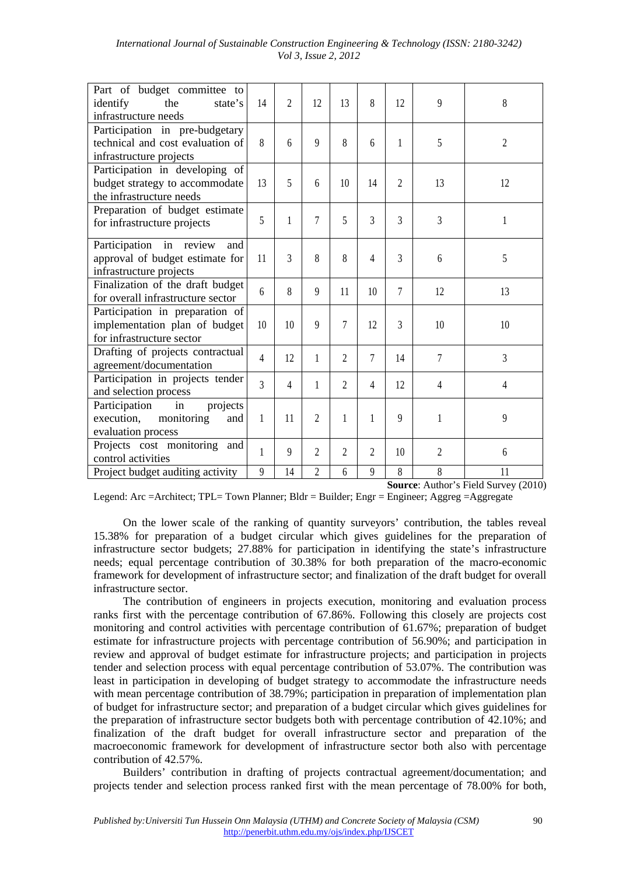| International Journal of Sustainable Construction Engineering & Technology (ISSN: 2180-3242) |                             |  |  |  |
|----------------------------------------------------------------------------------------------|-----------------------------|--|--|--|
|                                                                                              | <i>Vol 3, Issue 2, 2012</i> |  |  |  |

| Part of budget committee to<br>the<br>identify<br>state's<br>infrastructure needs             | 14             | $\mathfrak{D}$ | 12             | 13             | 8      | 12             | 9      | 8              |
|-----------------------------------------------------------------------------------------------|----------------|----------------|----------------|----------------|--------|----------------|--------|----------------|
| Participation in pre-budgetary<br>technical and cost evaluation of<br>infrastructure projects | 8              | 6              | 9              | 8              | 6      | 1              | 5      | $\overline{2}$ |
| Participation in developing of<br>budget strategy to accommodate<br>the infrastructure needs  | 13             | 5              | 6              | 10             | 14     | $\overline{c}$ | 13     | 12             |
| Preparation of budget estimate<br>for infrastructure projects                                 | 5              | 1              | 7              | 5              | 3      | 3              | 3      | 1              |
| Participation in review<br>and<br>approval of budget estimate for<br>infrastructure projects  | 11             | 3              | 8              | 8              | 4      | 3              | 6      | 5              |
| Finalization of the draft budget<br>for overall infrastructure sector                         | $\mathsf{6}$   | 8              | 9              | 11             | 10     | 7              | 12     | 13             |
| Participation in preparation of<br>implementation plan of budget<br>for infrastructure sector | 10             | 10             | 9              | 7              | 12     | 3              | 10     | 10             |
| Drafting of projects contractual<br>agreement/documentation                                   | $\overline{4}$ | 12             | 1              | $\overline{2}$ | $\tau$ | 14             | $\tau$ | 3              |
| Participation in projects tender<br>and selection process                                     | 3              | 4              | 1              | $\overline{2}$ | 4      | 12             | 4      | 4              |
| Participation<br>projects<br>in<br>execution,<br>monitoring<br>and<br>evaluation process      | 1              | 11             | $\mathfrak{D}$ | 1              | 1      | 9              | 1      | 9              |
| Projects cost monitoring<br>and<br>control activities                                         | 1              | 9              | $\overline{2}$ | 2              | 2      | 10             | 2      | 6              |
| Project budget auditing activity                                                              | 9              | 14             | 2              | 6              | 9      | 8              | 8      | 11             |

**Source**: Author's Field Survey (2010)

Legend: Arc = Architect; TPL= Town Planner; Bldr = Builder; Engr = Engineer; Aggreg = Aggregate

On the lower scale of the ranking of quantity surveyors' contribution, the tables reveal 15.38% for preparation of a budget circular which gives guidelines for the preparation of infrastructure sector budgets; 27.88% for participation in identifying the state's infrastructure needs; equal percentage contribution of 30.38% for both preparation of the macro-economic framework for development of infrastructure sector; and finalization of the draft budget for overall infrastructure sector.

The contribution of engineers in projects execution, monitoring and evaluation process ranks first with the percentage contribution of 67.86%. Following this closely are projects cost monitoring and control activities with percentage contribution of 61.67%; preparation of budget estimate for infrastructure projects with percentage contribution of 56.90%; and participation in review and approval of budget estimate for infrastructure projects; and participation in projects tender and selection process with equal percentage contribution of 53.07%. The contribution was least in participation in developing of budget strategy to accommodate the infrastructure needs with mean percentage contribution of 38.79%; participation in preparation of implementation plan of budget for infrastructure sector; and preparation of a budget circular which gives guidelines for the preparation of infrastructure sector budgets both with percentage contribution of 42.10%; and finalization of the draft budget for overall infrastructure sector and preparation of the macroeconomic framework for development of infrastructure sector both also with percentage contribution of 42.57%.

Builders' contribution in drafting of projects contractual agreement/documentation; and projects tender and selection process ranked first with the mean percentage of 78.00% for both,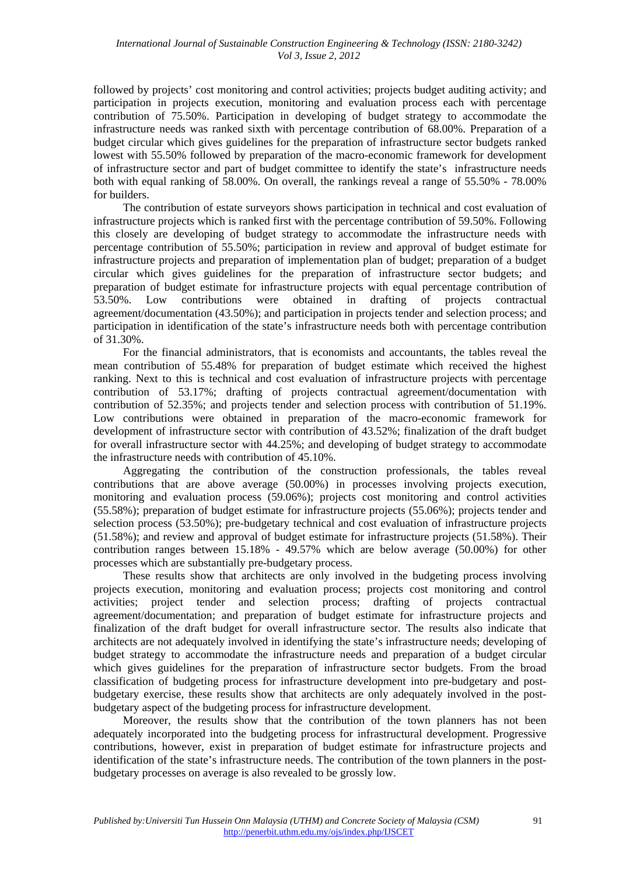followed by projects' cost monitoring and control activities; projects budget auditing activity; and participation in projects execution, monitoring and evaluation process each with percentage contribution of 75.50%. Participation in developing of budget strategy to accommodate the infrastructure needs was ranked sixth with percentage contribution of 68.00%. Preparation of a budget circular which gives guidelines for the preparation of infrastructure sector budgets ranked lowest with 55.50% followed by preparation of the macro-economic framework for development of infrastructure sector and part of budget committee to identify the state's infrastructure needs both with equal ranking of 58.00%. On overall, the rankings reveal a range of 55.50% - 78.00% for builders.

The contribution of estate surveyors shows participation in technical and cost evaluation of infrastructure projects which is ranked first with the percentage contribution of 59.50%. Following this closely are developing of budget strategy to accommodate the infrastructure needs with percentage contribution of 55.50%; participation in review and approval of budget estimate for infrastructure projects and preparation of implementation plan of budget; preparation of a budget circular which gives guidelines for the preparation of infrastructure sector budgets; and preparation of budget estimate for infrastructure projects with equal percentage contribution of 53.50%. Low contributions were obtained in drafting of projects contractual agreement/documentation (43.50%); and participation in projects tender and selection process; and participation in identification of the state's infrastructure needs both with percentage contribution of 31.30%.

For the financial administrators, that is economists and accountants, the tables reveal the mean contribution of 55.48% for preparation of budget estimate which received the highest ranking. Next to this is technical and cost evaluation of infrastructure projects with percentage contribution of 53.17%; drafting of projects contractual agreement/documentation with contribution of 52.35%; and projects tender and selection process with contribution of 51.19%. Low contributions were obtained in preparation of the macro-economic framework for development of infrastructure sector with contribution of 43.52%; finalization of the draft budget for overall infrastructure sector with 44.25%; and developing of budget strategy to accommodate the infrastructure needs with contribution of 45.10%.

Aggregating the contribution of the construction professionals, the tables reveal contributions that are above average (50.00%) in processes involving projects execution, monitoring and evaluation process (59.06%); projects cost monitoring and control activities (55.58%); preparation of budget estimate for infrastructure projects (55.06%); projects tender and selection process (53.50%); pre-budgetary technical and cost evaluation of infrastructure projects (51.58%); and review and approval of budget estimate for infrastructure projects (51.58%). Their contribution ranges between 15.18% - 49.57% which are below average (50.00%) for other processes which are substantially pre-budgetary process.

These results show that architects are only involved in the budgeting process involving projects execution, monitoring and evaluation process; projects cost monitoring and control activities; project tender and selection process; drafting of projects contractual agreement/documentation; and preparation of budget estimate for infrastructure projects and finalization of the draft budget for overall infrastructure sector. The results also indicate that architects are not adequately involved in identifying the state's infrastructure needs; developing of budget strategy to accommodate the infrastructure needs and preparation of a budget circular which gives guidelines for the preparation of infrastructure sector budgets. From the broad classification of budgeting process for infrastructure development into pre-budgetary and postbudgetary exercise, these results show that architects are only adequately involved in the postbudgetary aspect of the budgeting process for infrastructure development.

Moreover, the results show that the contribution of the town planners has not been adequately incorporated into the budgeting process for infrastructural development. Progressive contributions, however, exist in preparation of budget estimate for infrastructure projects and identification of the state's infrastructure needs. The contribution of the town planners in the postbudgetary processes on average is also revealed to be grossly low.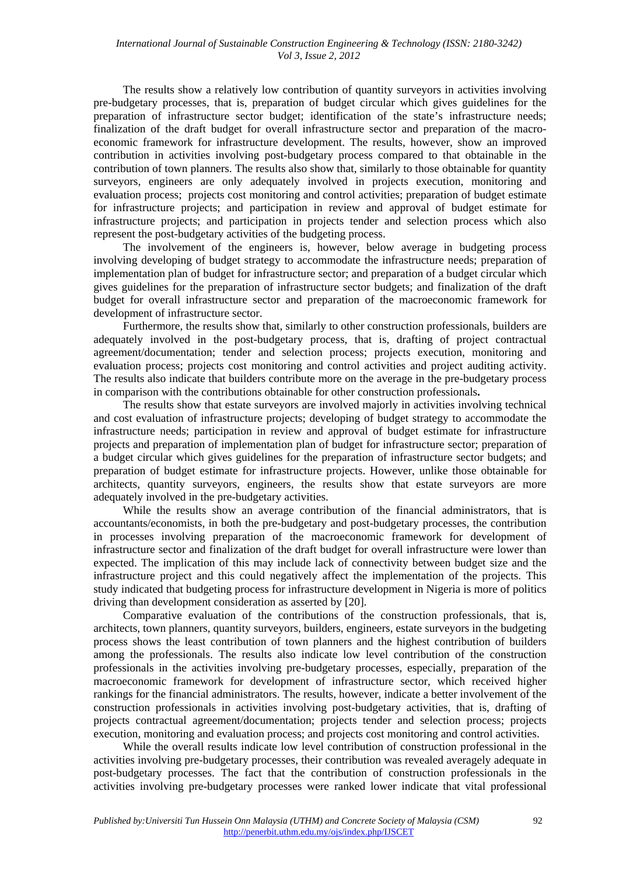The results show a relatively low contribution of quantity surveyors in activities involving pre-budgetary processes, that is, preparation of budget circular which gives guidelines for the preparation of infrastructure sector budget; identification of the state's infrastructure needs; finalization of the draft budget for overall infrastructure sector and preparation of the macroeconomic framework for infrastructure development. The results, however, show an improved contribution in activities involving post-budgetary process compared to that obtainable in the contribution of town planners. The results also show that, similarly to those obtainable for quantity surveyors, engineers are only adequately involved in projects execution, monitoring and evaluation process; projects cost monitoring and control activities; preparation of budget estimate for infrastructure projects; and participation in review and approval of budget estimate for infrastructure projects; and participation in projects tender and selection process which also represent the post-budgetary activities of the budgeting process.

The involvement of the engineers is, however, below average in budgeting process involving developing of budget strategy to accommodate the infrastructure needs; preparation of implementation plan of budget for infrastructure sector; and preparation of a budget circular which gives guidelines for the preparation of infrastructure sector budgets; and finalization of the draft budget for overall infrastructure sector and preparation of the macroeconomic framework for development of infrastructure sector.

Furthermore, the results show that, similarly to other construction professionals, builders are adequately involved in the post-budgetary process, that is, drafting of project contractual agreement/documentation; tender and selection process; projects execution, monitoring and evaluation process; projects cost monitoring and control activities and project auditing activity. The results also indicate that builders contribute more on the average in the pre-budgetary process in comparison with the contributions obtainable for other construction professionals**.** 

The results show that estate surveyors are involved majorly in activities involving technical and cost evaluation of infrastructure projects; developing of budget strategy to accommodate the infrastructure needs; participation in review and approval of budget estimate for infrastructure projects and preparation of implementation plan of budget for infrastructure sector; preparation of a budget circular which gives guidelines for the preparation of infrastructure sector budgets; and preparation of budget estimate for infrastructure projects. However, unlike those obtainable for architects, quantity surveyors, engineers, the results show that estate surveyors are more adequately involved in the pre-budgetary activities.

While the results show an average contribution of the financial administrators, that is accountants/economists, in both the pre-budgetary and post-budgetary processes, the contribution in processes involving preparation of the macroeconomic framework for development of infrastructure sector and finalization of the draft budget for overall infrastructure were lower than expected. The implication of this may include lack of connectivity between budget size and the infrastructure project and this could negatively affect the implementation of the projects. This study indicated that budgeting process for infrastructure development in Nigeria is more of politics driving than development consideration as asserted by [20].

Comparative evaluation of the contributions of the construction professionals, that is, architects, town planners, quantity surveyors, builders, engineers, estate surveyors in the budgeting process shows the least contribution of town planners and the highest contribution of builders among the professionals. The results also indicate low level contribution of the construction professionals in the activities involving pre-budgetary processes, especially, preparation of the macroeconomic framework for development of infrastructure sector, which received higher rankings for the financial administrators. The results, however, indicate a better involvement of the construction professionals in activities involving post-budgetary activities, that is, drafting of projects contractual agreement/documentation; projects tender and selection process; projects execution, monitoring and evaluation process; and projects cost monitoring and control activities.

While the overall results indicate low level contribution of construction professional in the activities involving pre-budgetary processes, their contribution was revealed averagely adequate in post-budgetary processes. The fact that the contribution of construction professionals in the activities involving pre-budgetary processes were ranked lower indicate that vital professional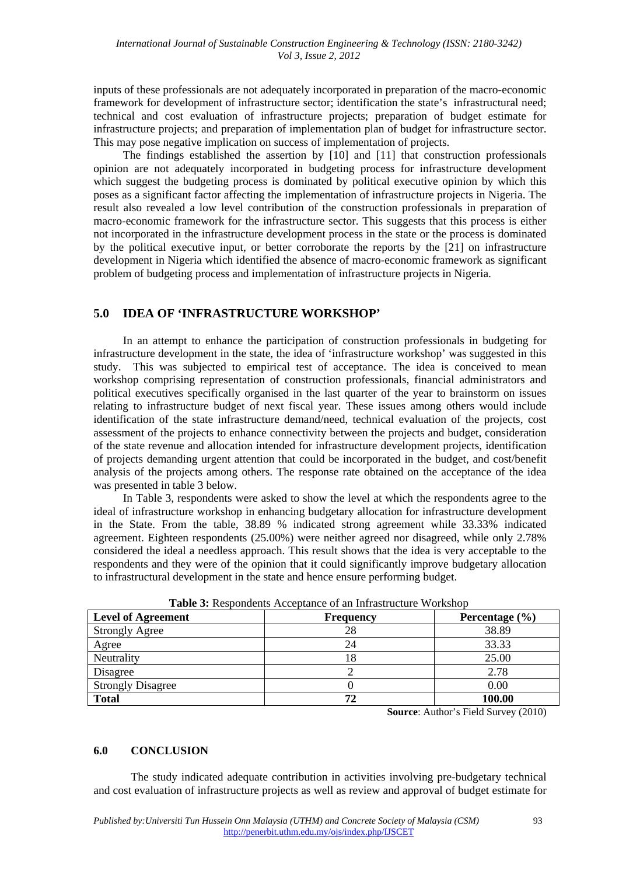inputs of these professionals are not adequately incorporated in preparation of the macro-economic framework for development of infrastructure sector; identification the state's infrastructural need; technical and cost evaluation of infrastructure projects; preparation of budget estimate for infrastructure projects; and preparation of implementation plan of budget for infrastructure sector. This may pose negative implication on success of implementation of projects.

The findings established the assertion by [10] and [11] that construction professionals opinion are not adequately incorporated in budgeting process for infrastructure development which suggest the budgeting process is dominated by political executive opinion by which this poses as a significant factor affecting the implementation of infrastructure projects in Nigeria. The result also revealed a low level contribution of the construction professionals in preparation of macro-economic framework for the infrastructure sector. This suggests that this process is either not incorporated in the infrastructure development process in the state or the process is dominated by the political executive input, or better corroborate the reports by the [21] on infrastructure development in Nigeria which identified the absence of macro-economic framework as significant problem of budgeting process and implementation of infrastructure projects in Nigeria.

# **5.0 IDEA OF 'INFRASTRUCTURE WORKSHOP'**

In an attempt to enhance the participation of construction professionals in budgeting for infrastructure development in the state, the idea of 'infrastructure workshop' was suggested in this study. This was subjected to empirical test of acceptance. The idea is conceived to mean workshop comprising representation of construction professionals, financial administrators and political executives specifically organised in the last quarter of the year to brainstorm on issues relating to infrastructure budget of next fiscal year. These issues among others would include identification of the state infrastructure demand/need, technical evaluation of the projects, cost assessment of the projects to enhance connectivity between the projects and budget, consideration of the state revenue and allocation intended for infrastructure development projects, identification of projects demanding urgent attention that could be incorporated in the budget, and cost/benefit analysis of the projects among others. The response rate obtained on the acceptance of the idea was presented in table 3 below.

In Table 3, respondents were asked to show the level at which the respondents agree to the ideal of infrastructure workshop in enhancing budgetary allocation for infrastructure development in the State. From the table, 38.89 % indicated strong agreement while 33.33% indicated agreement. Eighteen respondents (25.00%) were neither agreed nor disagreed, while only 2.78% considered the ideal a needless approach. This result shows that the idea is very acceptable to the respondents and they were of the opinion that it could significantly improve budgetary allocation to infrastructural development in the state and hence ensure performing budget.

| <b>Level of Agreement</b> | <b>Frequency</b> | Percentage $(\% )$ |
|---------------------------|------------------|--------------------|
| <b>Strongly Agree</b>     | 28               | 38.89              |
| Agree                     | 24               | 33.33              |
| Neutrality                | 18               | 25.00              |
| Disagree                  |                  | 2.78               |
| <b>Strongly Disagree</b>  |                  | 0.00               |
| <b>Total</b>              | 72               | 100.00             |

| <b>Table 3:</b> Respondents Acceptance of an Infrastructure Workshop |  |  |  |
|----------------------------------------------------------------------|--|--|--|
|----------------------------------------------------------------------|--|--|--|

**Source**: Author's Field Survey (2010)

#### **6.0 CONCLUSION**

The study indicated adequate contribution in activities involving pre-budgetary technical and cost evaluation of infrastructure projects as well as review and approval of budget estimate for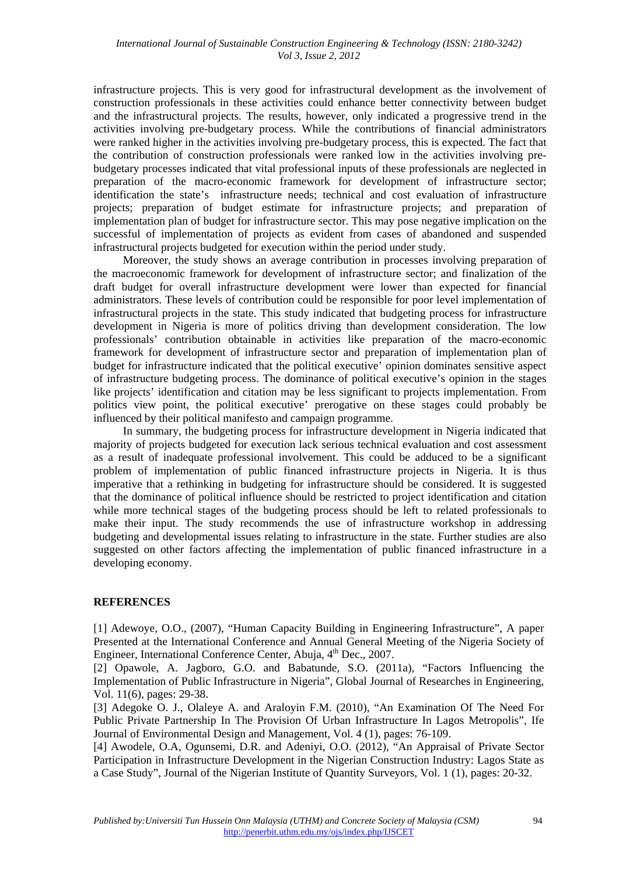infrastructure projects. This is very good for infrastructural development as the involvement of construction professionals in these activities could enhance better connectivity between budget and the infrastructural projects. The results, however, only indicated a progressive trend in the activities involving pre-budgetary process. While the contributions of financial administrators were ranked higher in the activities involving pre-budgetary process, this is expected. The fact that the contribution of construction professionals were ranked low in the activities involving prebudgetary processes indicated that vital professional inputs of these professionals are neglected in preparation of the macro-economic framework for development of infrastructure sector; identification the state's infrastructure needs; technical and cost evaluation of infrastructure projects; preparation of budget estimate for infrastructure projects; and preparation of implementation plan of budget for infrastructure sector. This may pose negative implication on the successful of implementation of projects as evident from cases of abandoned and suspended infrastructural projects budgeted for execution within the period under study.

Moreover, the study shows an average contribution in processes involving preparation of the macroeconomic framework for development of infrastructure sector; and finalization of the draft budget for overall infrastructure development were lower than expected for financial administrators. These levels of contribution could be responsible for poor level implementation of infrastructural projects in the state. This study indicated that budgeting process for infrastructure development in Nigeria is more of politics driving than development consideration. The low professionals' contribution obtainable in activities like preparation of the macro-economic framework for development of infrastructure sector and preparation of implementation plan of budget for infrastructure indicated that the political executive' opinion dominates sensitive aspect of infrastructure budgeting process. The dominance of political executive's opinion in the stages like projects' identification and citation may be less significant to projects implementation. From politics view point, the political executive' prerogative on these stages could probably be influenced by their political manifesto and campaign programme.

In summary, the budgeting process for infrastructure development in Nigeria indicated that majority of projects budgeted for execution lack serious technical evaluation and cost assessment as a result of inadequate professional involvement. This could be adduced to be a significant problem of implementation of public financed infrastructure projects in Nigeria. It is thus imperative that a rethinking in budgeting for infrastructure should be considered. It is suggested that the dominance of political influence should be restricted to project identification and citation while more technical stages of the budgeting process should be left to related professionals to make their input. The study recommends the use of infrastructure workshop in addressing budgeting and developmental issues relating to infrastructure in the state. Further studies are also suggested on other factors affecting the implementation of public financed infrastructure in a developing economy.

#### **REFERENCES**

[1] Adewoye, O.O., (2007), "Human Capacity Building in Engineering Infrastructure", A paper Presented at the International Conference and Annual General Meeting of the Nigeria Society of Engineer, International Conference Center, Abuja, 4<sup>th</sup> Dec., 2007.

[2] Opawole, A. Jagboro, G.O. and Babatunde, S.O. (2011a), "Factors Influencing the Implementation of Public Infrastructure in Nigeria", Global Journal of Researches in Engineering, Vol. 11(6), pages: 29-38.

[3] Adegoke O. J., Olaleye A. and Araloyin F.M. (2010), "An Examination Of The Need For Public Private Partnership In The Provision Of Urban Infrastructure In Lagos Metropolis", Ife Journal of Environmental Design and Management, Vol. 4 (1), pages: 76-109.

[4] Awodele, O.A, Ogunsemi, D.R. and Adeniyi, O.O. (2012), "An Appraisal of Private Sector Participation in Infrastructure Development in the Nigerian Construction Industry: Lagos State as a Case Study", Journal of the Nigerian Institute of Quantity Surveyors, Vol. 1 (1), pages: 20-32.